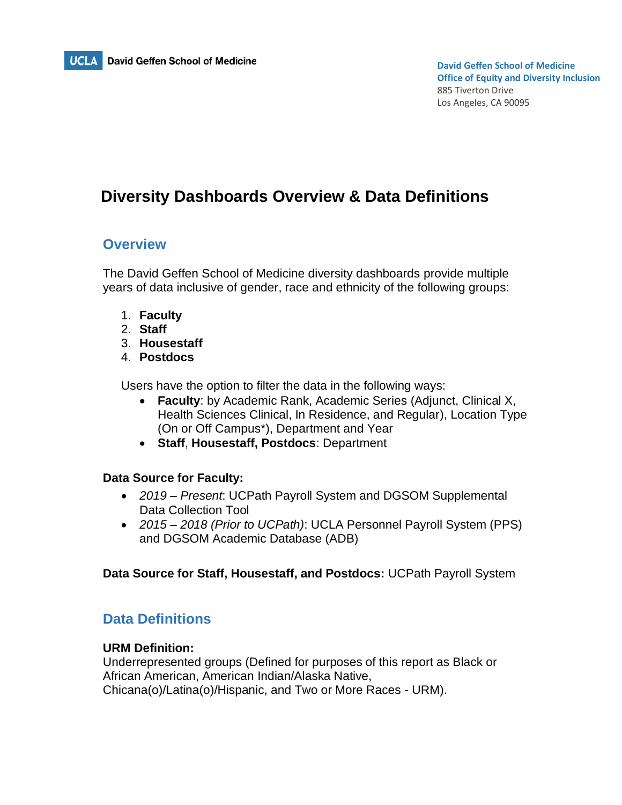

# **Diversity Dashboards Overview & Data Definitions**

### **Overview**

The David Geffen School of Medicine diversity dashboards provide multiple years of data inclusive of gender, race and ethnicity of the following groups:

- 1. **Faculty**
- 2. **Staff**
- 3. **Housestaff**
- 4. **Postdocs**

Users have the option to filter the data in the following ways:

- **Faculty**: by Academic Rank, Academic Series (Adjunct, Clinical X, Health Sciences Clinical, In Residence, and Regular), Location Type (On or Off Campus\*), Department and Year
- **Staff**, **Housestaff, Postdocs**: Department

### **Data Source for Faculty:**

- *2019 – Present*: UCPath Payroll System and DGSOM Supplemental Data Collection Tool
- *2015 – 2018 (Prior to UCPath)*: UCLA Personnel Payroll System (PPS) and DGSOM Academic Database (ADB)

**Data Source for Staff, Housestaff, and Postdocs:** UCPath Payroll System

## **Data Definitions**

#### **URM Definition:**

Underrepresented groups (Defined for purposes of this report as Black or African American, American Indian/Alaska Native, Chicana(o)/Latina(o)/Hispanic, and Two or More Races - URM).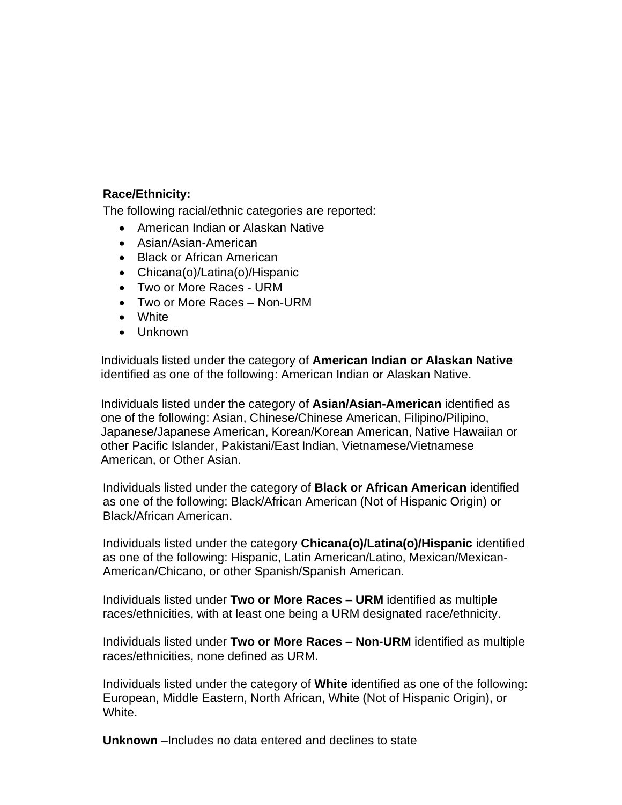### **Race/Ethnicity:**

The following racial/ethnic categories are reported:

- American Indian or Alaskan Native
- Asian/Asian-American
- Black or African American
- Chicana(o)/Latina(o)/Hispanic
- Two or More Races URM
- Two or More Races Non-URM
- White
- Unknown

Individuals listed under the category of **American Indian or Alaskan Native** identified as one of the following: American Indian or Alaskan Native.

Individuals listed under the category of **Asian/Asian-American** identified as one of the following: Asian, Chinese/Chinese American, Filipino/Pilipino, Japanese/Japanese American, Korean/Korean American, Native Hawaiian or other Pacific Islander, Pakistani/East Indian, Vietnamese/Vietnamese American, or Other Asian.

Individuals listed under the category of **Black or African American** identified as one of the following: Black/African American (Not of Hispanic Origin) or Black/African American.

Individuals listed under the category **Chicana(o)/Latina(o)/Hispanic** identified as one of the following: Hispanic, Latin American/Latino, Mexican/Mexican-American/Chicano, or other Spanish/Spanish American.

Individuals listed under **Two or More Races – URM** identified as multiple races/ethnicities, with at least one being a URM designated race/ethnicity.

Individuals listed under **Two or More Races – Non-URM** identified as multiple races/ethnicities, none defined as URM.

Individuals listed under the category of **White** identified as one of the following: European, Middle Eastern, North African, White (Not of Hispanic Origin), or White.

**Unknown** –Includes no data entered and declines to state